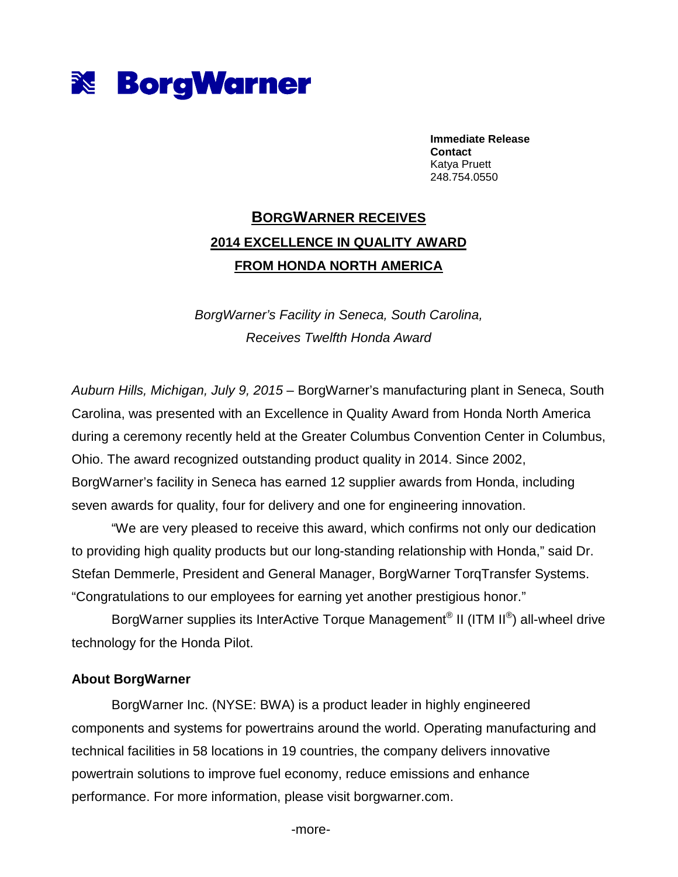

**Immediate Release Contact**  Katya Pruett 248.754.0550

## **BORGWARNER RECEIVES 2014 EXCELLENCE IN QUALITY AWARD FROM HONDA NORTH AMERICA**

BorgWarner's Facility in Seneca, South Carolina, Receives Twelfth Honda Award

Auburn Hills, Michigan, July 9, 2015 – BorgWarner's manufacturing plant in Seneca, South Carolina, was presented with an Excellence in Quality Award from Honda North America during a ceremony recently held at the Greater Columbus Convention Center in Columbus, Ohio. The award recognized outstanding product quality in 2014. Since 2002, BorgWarner's facility in Seneca has earned 12 supplier awards from Honda, including seven awards for quality, four for delivery and one for engineering innovation.

"We are very pleased to receive this award, which confirms not only our dedication to providing high quality products but our long-standing relationship with Honda," said Dr. Stefan Demmerle, President and General Manager, BorgWarner TorqTransfer Systems. "Congratulations to our employees for earning yet another prestigious honor."

BorgWarner supplies its InterActive Torque Management® II (ITM II®) all-wheel drive technology for the Honda Pilot.

## **About BorgWarner**

BorgWarner Inc. (NYSE: BWA) is a product leader in highly engineered components and systems for powertrains around the world. Operating manufacturing and technical facilities in 58 locations in 19 countries, the company delivers innovative powertrain solutions to improve fuel economy, reduce emissions and enhance performance. For more information, please visit borgwarner.com.